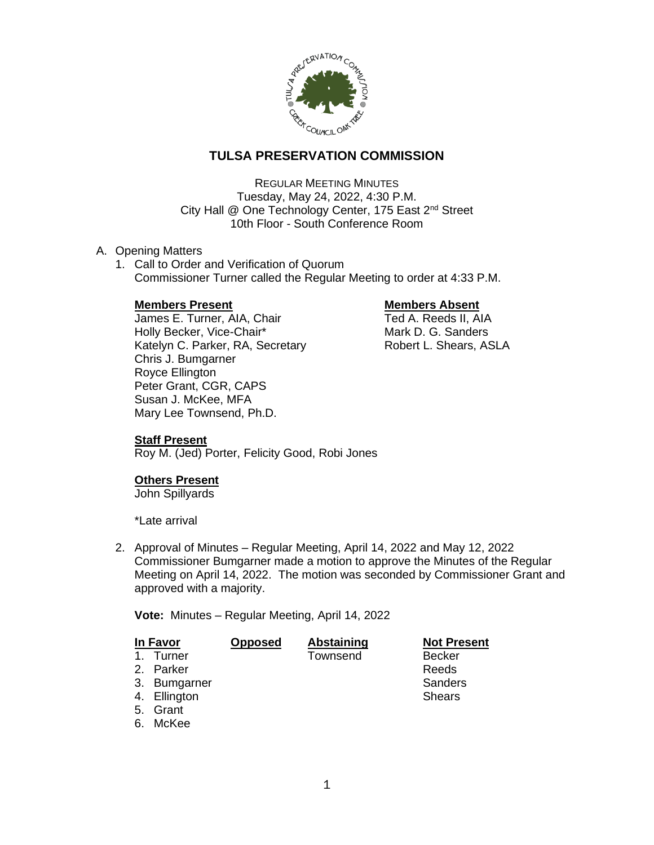

# **TULSA PRESERVATION COMMISSION**

REGULAR MEETING MINUTES Tuesday, May 24, 2022, 4:30 P.M. City Hall @ One Technology Center, 175 East 2<sup>nd</sup> Street 10th Floor - South Conference Room

### A. Opening Matters

1. Call to Order and Verification of Quorum Commissioner Turner called the Regular Meeting to order at 4:33 P.M.

### **Members Present Communist Communist Present Absent**

James E. Turner, AIA, Chair Ted A. Reeds II, AIA Holly Becker, Vice-Chair\* Mark D. G. Sanders Katelyn C. Parker, RA, Secretary **Robert L. Shears, ASLA** Chris J. Bumgarner Royce Ellington Peter Grant, CGR, CAPS Susan J. McKee, MFA Mary Lee Townsend, Ph.D.

## **Staff Present**

Roy M. (Jed) Porter, Felicity Good, Robi Jones

## **Others Present**

John Spillyards

\*Late arrival

2. Approval of Minutes – Regular Meeting, April 14, 2022 and May 12, 2022 Commissioner Bumgarner made a motion to approve the Minutes of the Regular Meeting on April 14, 2022. The motion was seconded by Commissioner Grant and approved with a majority.

**Vote:** Minutes – Regular Meeting, April 14, 2022

| <b>In Favor</b> |              | <b>Opposed</b> | <b>Abstaining</b> | <b>Not Present</b> |
|-----------------|--------------|----------------|-------------------|--------------------|
|                 | 1. Turner    |                | Townsend          | <b>Becker</b>      |
|                 | 2. Parker    |                |                   | Reeds              |
|                 | 3. Bumgarner |                |                   | Sanders            |
|                 | 4. Ellington |                |                   | <b>Shears</b>      |
|                 | 5. Grant     |                |                   |                    |
|                 | 6. McKee     |                |                   |                    |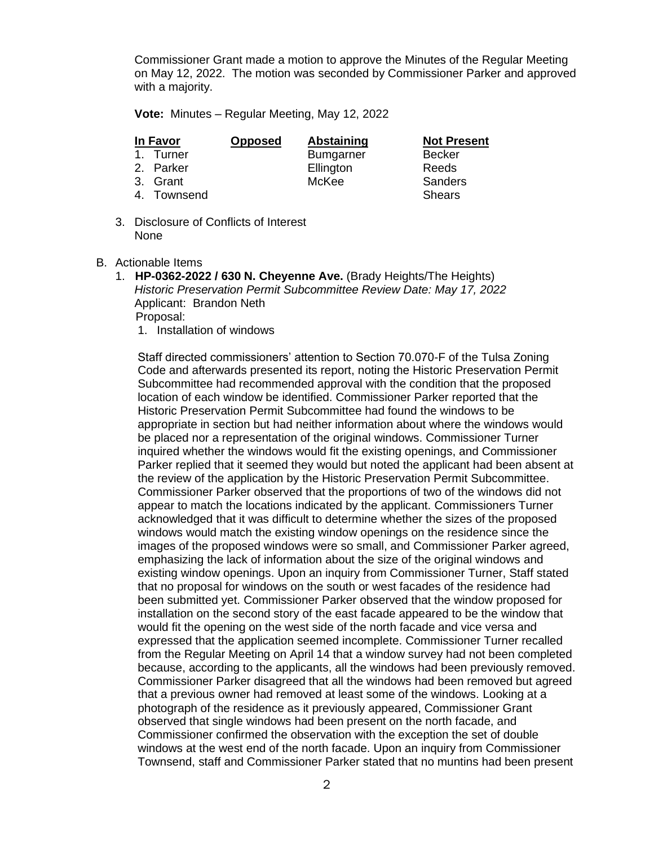Commissioner Grant made a motion to approve the Minutes of the Regular Meeting on May 12, 2022. The motion was seconded by Commissioner Parker and approved with a majority.

**Vote:** Minutes – Regular Meeting, May 12, 2022

| In Favor    | <b>Opposed</b> | <b>Abstaining</b> | <b>Not Present</b> |
|-------------|----------------|-------------------|--------------------|
| 1. Turner   |                | <b>Bumgarner</b>  | <b>Becker</b>      |
| 2. Parker   |                | Ellington         | Reeds              |
| 3. Grant    |                | McKee             | Sanders            |
| 4. Townsend |                |                   | <b>Shears</b>      |
|             |                |                   |                    |

- 3. Disclosure of Conflicts of Interest None
- B. Actionable Items
	- 1. **HP-0362-2022 / 630 N. Cheyenne Ave.** (Brady Heights/The Heights) *Historic Preservation Permit Subcommittee Review Date: May 17, 2022* Applicant: Brandon Neth Proposal: 1. Installation of windows

Staff directed commissioners' attention to Section 70.070-F of the Tulsa Zoning Code and afterwards presented its report, noting the Historic Preservation Permit Subcommittee had recommended approval with the condition that the proposed location of each window be identified. Commissioner Parker reported that the Historic Preservation Permit Subcommittee had found the windows to be appropriate in section but had neither information about where the windows would be placed nor a representation of the original windows. Commissioner Turner inquired whether the windows would fit the existing openings, and Commissioner Parker replied that it seemed they would but noted the applicant had been absent at the review of the application by the Historic Preservation Permit Subcommittee. Commissioner Parker observed that the proportions of two of the windows did not appear to match the locations indicated by the applicant. Commissioners Turner acknowledged that it was difficult to determine whether the sizes of the proposed windows would match the existing window openings on the residence since the images of the proposed windows were so small, and Commissioner Parker agreed, emphasizing the lack of information about the size of the original windows and existing window openings. Upon an inquiry from Commissioner Turner, Staff stated that no proposal for windows on the south or west facades of the residence had been submitted yet. Commissioner Parker observed that the window proposed for installation on the second story of the east facade appeared to be the window that would fit the opening on the west side of the north facade and vice versa and expressed that the application seemed incomplete. Commissioner Turner recalled from the Regular Meeting on April 14 that a window survey had not been completed because, according to the applicants, all the windows had been previously removed. Commissioner Parker disagreed that all the windows had been removed but agreed that a previous owner had removed at least some of the windows. Looking at a photograph of the residence as it previously appeared, Commissioner Grant observed that single windows had been present on the north facade, and Commissioner confirmed the observation with the exception the set of double windows at the west end of the north facade. Upon an inquiry from Commissioner Townsend, staff and Commissioner Parker stated that no muntins had been present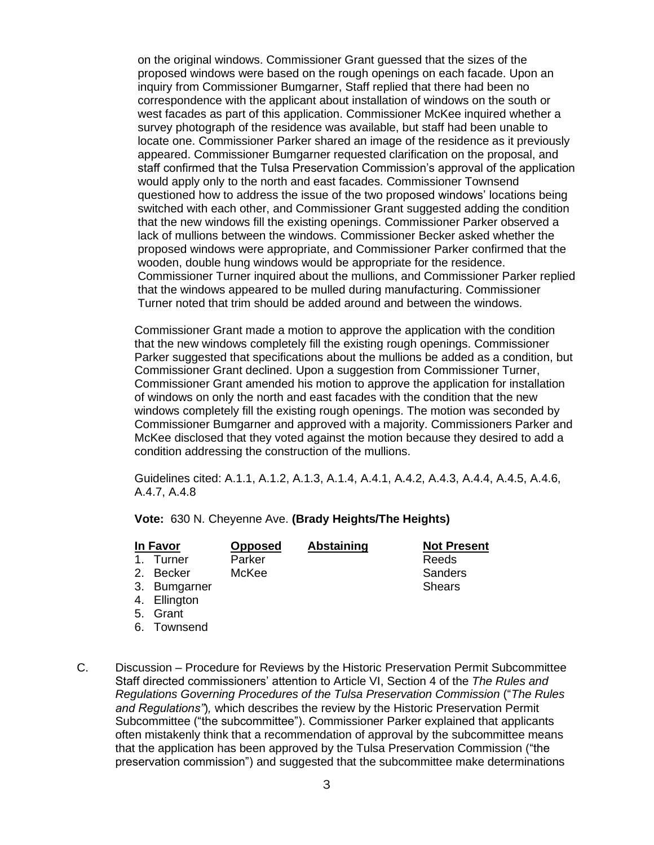on the original windows. Commissioner Grant guessed that the sizes of the proposed windows were based on the rough openings on each facade. Upon an inquiry from Commissioner Bumgarner, Staff replied that there had been no correspondence with the applicant about installation of windows on the south or west facades as part of this application. Commissioner McKee inquired whether a survey photograph of the residence was available, but staff had been unable to locate one. Commissioner Parker shared an image of the residence as it previously appeared. Commissioner Bumgarner requested clarification on the proposal, and staff confirmed that the Tulsa Preservation Commission's approval of the application would apply only to the north and east facades. Commissioner Townsend questioned how to address the issue of the two proposed windows' locations being switched with each other, and Commissioner Grant suggested adding the condition that the new windows fill the existing openings. Commissioner Parker observed a lack of mullions between the windows. Commissioner Becker asked whether the proposed windows were appropriate, and Commissioner Parker confirmed that the wooden, double hung windows would be appropriate for the residence. Commissioner Turner inquired about the mullions, and Commissioner Parker replied that the windows appeared to be mulled during manufacturing. Commissioner Turner noted that trim should be added around and between the windows.

Commissioner Grant made a motion to approve the application with the condition that the new windows completely fill the existing rough openings. Commissioner Parker suggested that specifications about the mullions be added as a condition, but Commissioner Grant declined. Upon a suggestion from Commissioner Turner, Commissioner Grant amended his motion to approve the application for installation of windows on only the north and east facades with the condition that the new windows completely fill the existing rough openings. The motion was seconded by Commissioner Bumgarner and approved with a majority. Commissioners Parker and McKee disclosed that they voted against the motion because they desired to add a condition addressing the construction of the mullions.

Guidelines cited: A.1.1, A.1.2, A.1.3, A.1.4, A.4.1, A.4.2, A.4.3, A.4.4, A.4.5, A.4.6, A.4.7, A.4.8

**Vote:** 630 N. Cheyenne Ave. **(Brady Heights/The Heights)**

| In Favor |              | <b>Opposed</b> | Abstaining | <b>Not Present</b> |
|----------|--------------|----------------|------------|--------------------|
|          | 1. Turner    | Parker         |            | Reeds              |
|          | 2. Becker    | McKee          |            | Sanders            |
|          | 3. Bumgarner |                |            | <b>Shears</b>      |
|          | 4. Ellington |                |            |                    |
|          | 5. Grant     |                |            |                    |

- 6. Townsend
- C. Discussion Procedure for Reviews by the Historic Preservation Permit Subcommittee Staff directed commissioners' attention to Article VI, Section 4 of the *The Rules and Regulations Governing Procedures of the Tulsa Preservation Commission* ("*The Rules and Regulations"*)*,* which describes the review by the Historic Preservation Permit Subcommittee ("the subcommittee"). Commissioner Parker explained that applicants often mistakenly think that a recommendation of approval by the subcommittee means that the application has been approved by the Tulsa Preservation Commission ("the preservation commission") and suggested that the subcommittee make determinations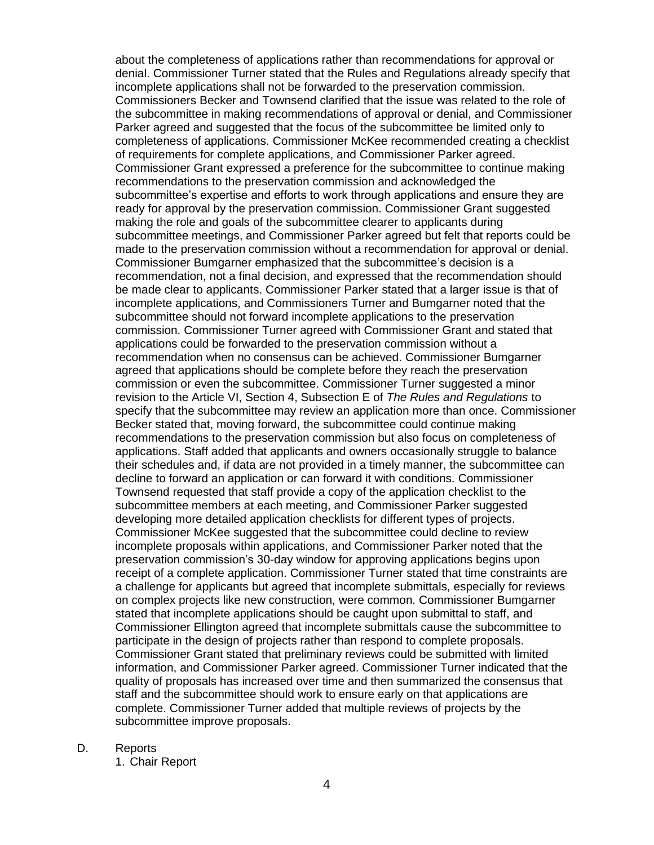about the completeness of applications rather than recommendations for approval or denial. Commissioner Turner stated that the Rules and Regulations already specify that incomplete applications shall not be forwarded to the preservation commission. Commissioners Becker and Townsend clarified that the issue was related to the role of the subcommittee in making recommendations of approval or denial, and Commissioner Parker agreed and suggested that the focus of the subcommittee be limited only to completeness of applications. Commissioner McKee recommended creating a checklist of requirements for complete applications, and Commissioner Parker agreed. Commissioner Grant expressed a preference for the subcommittee to continue making recommendations to the preservation commission and acknowledged the subcommittee's expertise and efforts to work through applications and ensure they are ready for approval by the preservation commission. Commissioner Grant suggested making the role and goals of the subcommittee clearer to applicants during subcommittee meetings, and Commissioner Parker agreed but felt that reports could be made to the preservation commission without a recommendation for approval or denial. Commissioner Bumgarner emphasized that the subcommittee's decision is a recommendation, not a final decision, and expressed that the recommendation should be made clear to applicants. Commissioner Parker stated that a larger issue is that of incomplete applications, and Commissioners Turner and Bumgarner noted that the subcommittee should not forward incomplete applications to the preservation commission. Commissioner Turner agreed with Commissioner Grant and stated that applications could be forwarded to the preservation commission without a recommendation when no consensus can be achieved. Commissioner Bumgarner agreed that applications should be complete before they reach the preservation commission or even the subcommittee. Commissioner Turner suggested a minor revision to the Article VI, Section 4, Subsection E of *The Rules and Regulations* to specify that the subcommittee may review an application more than once. Commissioner Becker stated that, moving forward, the subcommittee could continue making recommendations to the preservation commission but also focus on completeness of applications. Staff added that applicants and owners occasionally struggle to balance their schedules and, if data are not provided in a timely manner, the subcommittee can decline to forward an application or can forward it with conditions. Commissioner Townsend requested that staff provide a copy of the application checklist to the subcommittee members at each meeting, and Commissioner Parker suggested developing more detailed application checklists for different types of projects. Commissioner McKee suggested that the subcommittee could decline to review incomplete proposals within applications, and Commissioner Parker noted that the preservation commission's 30-day window for approving applications begins upon receipt of a complete application. Commissioner Turner stated that time constraints are a challenge for applicants but agreed that incomplete submittals, especially for reviews on complex projects like new construction, were common. Commissioner Bumgarner stated that incomplete applications should be caught upon submittal to staff, and Commissioner Ellington agreed that incomplete submittals cause the subcommittee to participate in the design of projects rather than respond to complete proposals. Commissioner Grant stated that preliminary reviews could be submitted with limited information, and Commissioner Parker agreed. Commissioner Turner indicated that the quality of proposals has increased over time and then summarized the consensus that staff and the subcommittee should work to ensure early on that applications are complete. Commissioner Turner added that multiple reviews of projects by the subcommittee improve proposals.

### D. Reports

1. Chair Report